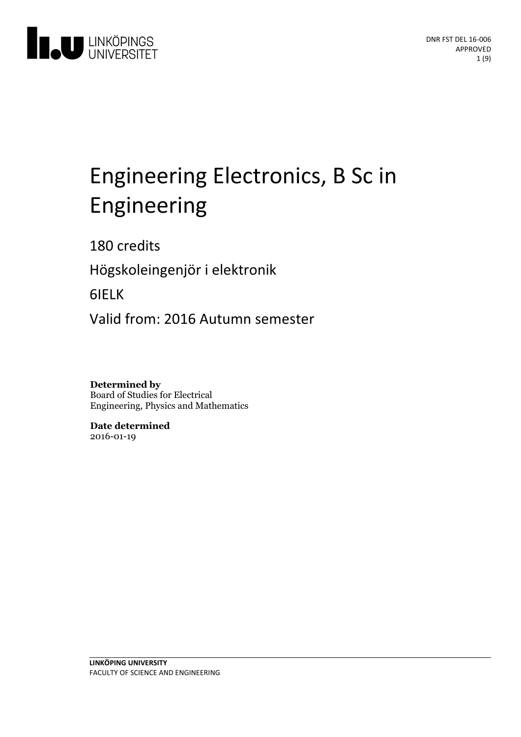

# Engineering Electronics, B Sc in Engineering

180 credits

Högskoleingenjör i elektronik

6IELK

Valid from: 2016 Autumn semester

**Determined by** Board of Studies for Electrical Engineering, Physics and Mathematics

**Date determined** 2016-01-19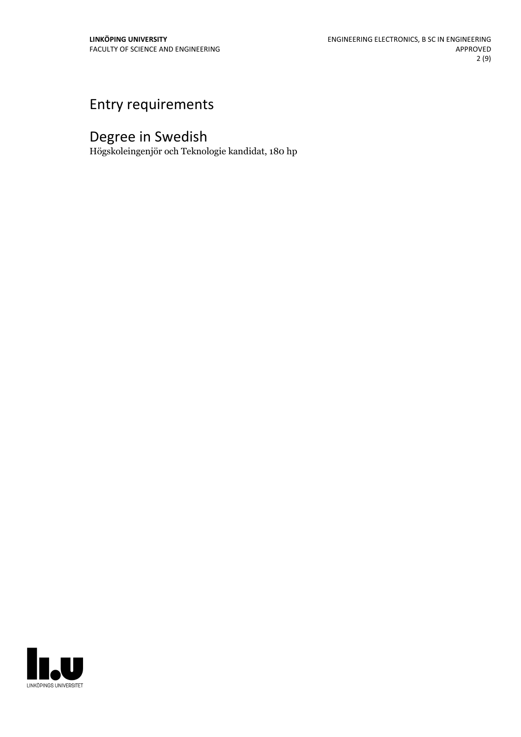# Entry requirements

# Degree in Swedish

Högskoleingenjör och Teknologie kandidat, 180 hp

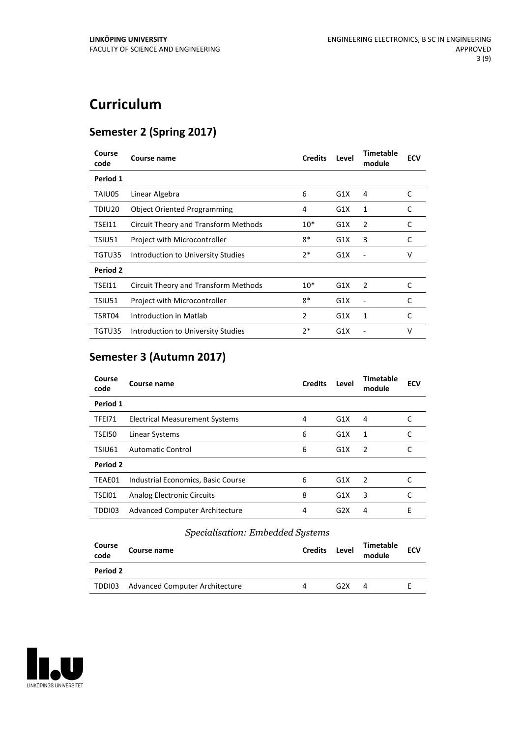# **Curriculum**

# **Semester 2 (Spring 2017)**

| Course<br>code | Course name                          | <b>Credits</b> | Level | <b>Timetable</b><br>module | <b>ECV</b> |
|----------------|--------------------------------------|----------------|-------|----------------------------|------------|
| Period 1       |                                      |                |       |                            |            |
| TAIU05         | Linear Algebra                       | 6              | G1X   | 4                          | C          |
| TDIU20         | <b>Object Oriented Programming</b>   | 4              | G1X   | 1                          | C          |
| TSEI11         | Circuit Theory and Transform Methods | $10*$          | G1X   | 2                          | C          |
| TSIU51         | Project with Microcontroller         | $8*$           | G1X   | 3                          | C          |
| TGTU35         | Introduction to University Studies   | $2*$           | G1X   |                            | v          |
| Period 2       |                                      |                |       |                            |            |
| TSEI11         | Circuit Theory and Transform Methods | $10*$          | G1X   | 2                          | C          |
| TSIU51         | Project with Microcontroller         | $8*$           | G1X   |                            | C          |
| TSRT04         | Introduction in Matlab               | 2              | G1X   | 1                          | C          |
| TGTU35         | Introduction to University Studies   | $2*$           | G1X   |                            | v          |

# **Semester 3 (Autumn 2017)**

| Course<br>code | Course name                        | <b>Credits</b> | Level | Timetable<br>module | <b>ECV</b> |
|----------------|------------------------------------|----------------|-------|---------------------|------------|
| Period 1       |                                    |                |       |                     |            |
| TFEI71         | Electrical Measurement Systems     | 4              | G1X   | 4                   |            |
| TSEI50         | Linear Systems                     | 6              | G1X   | 1                   |            |
| TSIU61         | <b>Automatic Control</b>           | 6              | G1X   | $\overline{2}$      |            |
| Period 2       |                                    |                |       |                     |            |
| TEAE01         | Industrial Economics, Basic Course | 6              | G1X   | $\mathcal{L}$       |            |
| TSEI01         | <b>Analog Electronic Circuits</b>  | 8              | G1X   | 3                   |            |
| TDDI03         | Advanced Computer Architecture     | 4              | G2X   | 4                   | E          |
|                |                                    |                |       |                     |            |

# *Specialisation: Embedded Systems*

| Course<br>code  | Course name                    | <b>Credits</b> | Level            | <b>Timetable</b><br>module | <b>ECV</b> |
|-----------------|--------------------------------|----------------|------------------|----------------------------|------------|
| <b>Period 2</b> |                                |                |                  |                            |            |
| TDDI03          | Advanced Computer Architecture | 4              | G <sub>2</sub> X | 4                          |            |

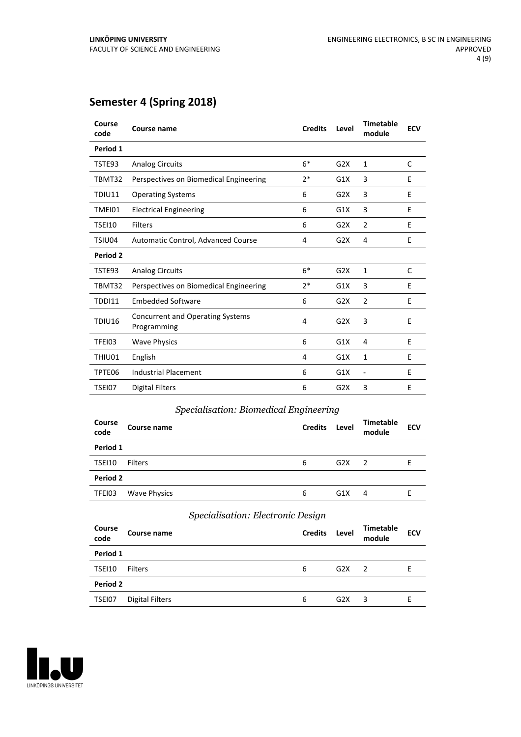# **Semester 4 (Spring 2018)**

| Course<br>code | Course name                                            | <b>Credits</b> | Level | <b>Timetable</b><br>module | <b>ECV</b> |
|----------------|--------------------------------------------------------|----------------|-------|----------------------------|------------|
| Period 1       |                                                        |                |       |                            |            |
| TSTE93         | <b>Analog Circuits</b>                                 | $6*$           | G2X   | $\mathbf{1}$               | C          |
| TBMT32         | Perspectives on Biomedical Engineering                 | $2*$           | G1X   | 3                          | E          |
| TDIU11         | <b>Operating Systems</b>                               | 6              | G2X   | 3                          | E          |
| TMEI01         | <b>Electrical Engineering</b>                          | 6              | G1X   | 3                          | E          |
| <b>TSEI10</b>  | Filters                                                | 6              | G2X   | 2                          | E          |
| TSIU04         | Automatic Control, Advanced Course                     | 4              | G2X   | 4                          | E          |
| Period 2       |                                                        |                |       |                            |            |
| TSTE93         | <b>Analog Circuits</b>                                 | $6*$           | G2X   | $\mathbf{1}$               | C          |
| TBMT32         | Perspectives on Biomedical Engineering                 | $2*$           | G1X   | 3                          | E          |
| TDDI11         | <b>Embedded Software</b>                               | 6              | G2X   | $\overline{2}$             | Е          |
| TDIU16         | <b>Concurrent and Operating Systems</b><br>Programming | 4              | G2X   | 3                          | E          |
| TFEI03         | <b>Wave Physics</b>                                    | 6              | G1X   | 4                          | E          |
| THIU01         | English                                                | 4              | G1X   | 1                          | E          |
| TPTE06         | <b>Industrial Placement</b>                            | 6              | G1X   | $\overline{\phantom{a}}$   | E          |
| TSEI07         | <b>Digital Filters</b>                                 | 6              | G2X   | 3                          | E          |

# *Specialisation: Biomedical Engineering*

| <b>Course</b><br>code | Course name         | <b>Credits</b> | Level | <b>Timetable</b><br>module | <b>ECV</b> |
|-----------------------|---------------------|----------------|-------|----------------------------|------------|
| Period 1              |                     |                |       |                            |            |
| TSEI10                | <b>Filters</b>      | 6              | G2X   | 2                          | Е          |
| Period 2              |                     |                |       |                            |            |
| TFEI03                | <b>Wave Physics</b> | 6              | G1X   | 4                          | F.         |

### *Specialisation: Electronic Design*

| Course<br>code | Course name            | <b>Credits</b> | Level | <b>Timetable</b><br>module | <b>ECV</b> |
|----------------|------------------------|----------------|-------|----------------------------|------------|
| Period 1       |                        |                |       |                            |            |
| TSEI10         | <b>Filters</b>         | 6              | G2X   | -2                         | E          |
| Period 2       |                        |                |       |                            |            |
| TSEI07         | <b>Digital Filters</b> | 6              | G2X   | 3                          | F          |

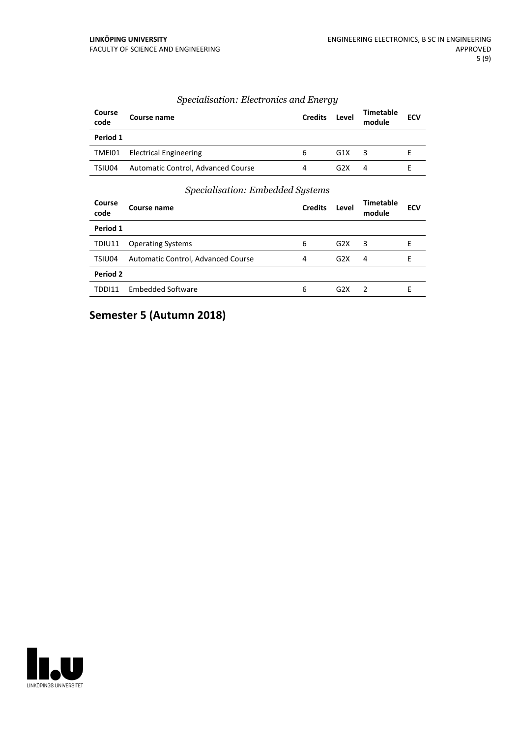#### *Specialisation: Electronics and Energy*

| Course<br>code | Course name                        | <b>Credits</b> | Level            | <b>Timetable</b><br>module | <b>ECV</b> |
|----------------|------------------------------------|----------------|------------------|----------------------------|------------|
| Period 1       |                                    |                |                  |                            |            |
| TMEI01         | <b>Electrical Engineering</b>      | 6              | G1X              |                            |            |
| TSIU04         | Automatic Control, Advanced Course | 4              | G <sub>2</sub> X | 4                          |            |

#### *Specialisation: Embedded Systems*

| Course<br>code | Course name                        | <b>Credits</b> | Level            | Timetable<br>module | <b>ECV</b> |
|----------------|------------------------------------|----------------|------------------|---------------------|------------|
| Period 1       |                                    |                |                  |                     |            |
| TDIU11         | <b>Operating Systems</b>           | 6              | G2X              | 3                   | F          |
| TSIU04         | Automatic Control, Advanced Course | 4              | G <sub>2</sub> X | 4                   |            |
| Period 2       |                                    |                |                  |                     |            |
| TDDI11         | Embedded Software                  | 6              | G <sub>2</sub> X | $\mathcal{P}$       | F          |

# **Semester 5 (Autumn 2018)**

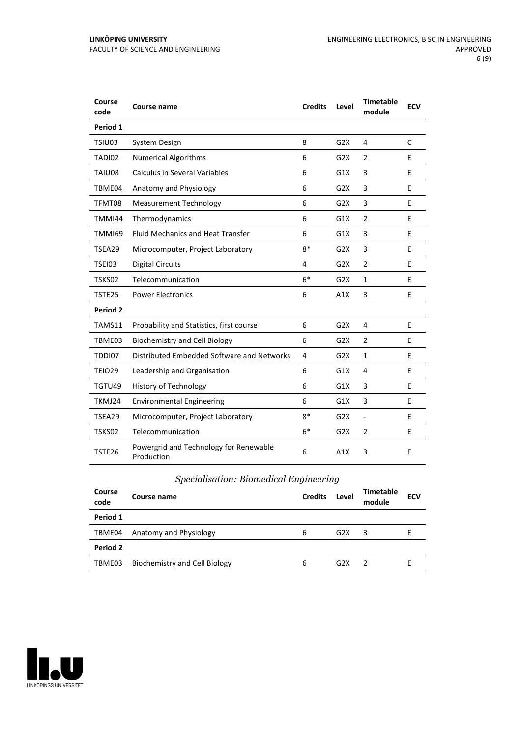| Course<br>code | Course name                                          | <b>Credits</b> | Level            | <b>Timetable</b><br>module | <b>ECV</b> |
|----------------|------------------------------------------------------|----------------|------------------|----------------------------|------------|
| Period 1       |                                                      |                |                  |                            |            |
| TSIU03         | System Design                                        | 8              | G2X              | 4                          | C          |
| TADI02         | <b>Numerical Algorithms</b>                          | 6              | G2X              | $\overline{2}$             | E          |
| TAIU08         | <b>Calculus in Several Variables</b>                 | 6              | G1X              | 3                          | E          |
| TBME04         | Anatomy and Physiology                               | 6              | G2X              | 3                          | E          |
| TFMT08         | <b>Measurement Technology</b>                        | 6              | G2X              | 3                          | E          |
| TMMI44         | Thermodynamics                                       | 6              | G1X              | $\overline{2}$             | E          |
| <b>TMMI69</b>  | <b>Fluid Mechanics and Heat Transfer</b>             | 6              | G1X              | 3                          | E          |
| TSEA29         | Microcomputer, Project Laboratory                    | $8*$           | G2X              | 3                          | E          |
| <b>TSEI03</b>  | <b>Digital Circuits</b>                              | 4              | G2X              | $\overline{2}$             | E          |
| TSKS02         | Telecommunication                                    | $6*$           | G2X              | $\mathbf{1}$               | E          |
| TSTE25         | <b>Power Electronics</b>                             | 6              | A1X              | 3                          | E.         |
| Period 2       |                                                      |                |                  |                            |            |
| TAMS11         | Probability and Statistics, first course             | 6              | G2X              | 4                          | E          |
| TBME03         | <b>Biochemistry and Cell Biology</b>                 | 6              | G <sub>2</sub> X | $\overline{2}$             | E          |
| TDDI07         | Distributed Embedded Software and Networks           | 4              | G2X              | $\mathbf{1}$               | E          |
| <b>TEIO29</b>  | Leadership and Organisation                          | 6              | G1X              | 4                          | E          |
| TGTU49         | <b>History of Technology</b>                         | 6              | G1X              | 3                          | E          |
| TKMJ24         | <b>Environmental Engineering</b>                     | 6              | G1X              | 3                          | E          |
| TSEA29         | Microcomputer, Project Laboratory                    | $8*$           | G2X              | $\blacksquare$             | E          |
| TSKS02         | Telecommunication                                    | $6*$           | G2X              | $\overline{2}$             | E          |
| TSTE26         | Powergrid and Technology for Renewable<br>Production | 6              | A1X              | 3                          | E          |

### *Specialisation: Biomedical Engineering*

| Course<br>code | Course name                   | <b>Credits</b> | Level | <b>Timetable</b><br>module | <b>ECV</b> |
|----------------|-------------------------------|----------------|-------|----------------------------|------------|
| Period 1       |                               |                |       |                            |            |
| TBME04         | Anatomy and Physiology        | 6              | G2X   | 3                          |            |
| Period 2       |                               |                |       |                            |            |
| TBME03         | Biochemistry and Cell Biology | 6              | G2X   |                            |            |

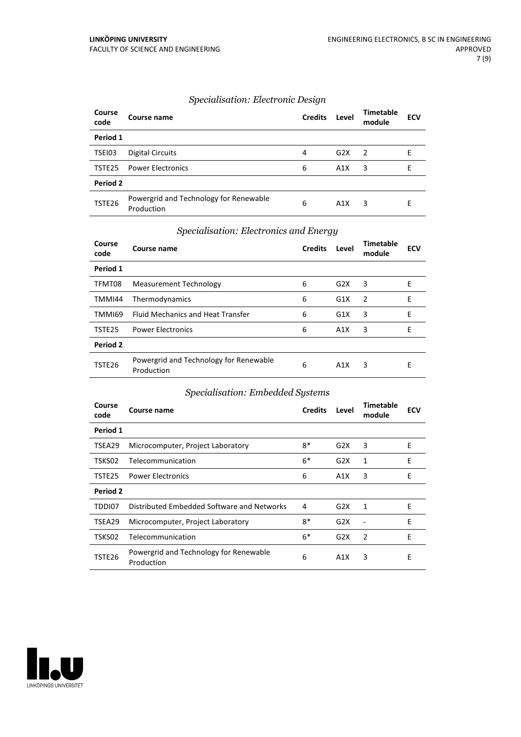#### *Specialisation: Electronic Design*

| Course<br>code | Course name                                          | <b>Credits</b> | Level | <b>Timetable</b><br>module | <b>ECV</b> |
|----------------|------------------------------------------------------|----------------|-------|----------------------------|------------|
| Period 1       |                                                      |                |       |                            |            |
| TSEI03         | Digital Circuits                                     | 4              | G2X   | $\mathcal{P}$              |            |
| TSTE25         | <b>Power Electronics</b>                             | 6              | A1X   | 3                          | F          |
| Period 2       |                                                      |                |       |                            |            |
| TSTE26         | Powergrid and Technology for Renewable<br>Production | 6              | A1X   | 3                          | F          |

#### *Specialisation: Electronics and Energy*

| Course<br>code | Course name                                          | <b>Credits</b> | Level | <b>Timetable</b><br>module | <b>ECV</b> |
|----------------|------------------------------------------------------|----------------|-------|----------------------------|------------|
| Period 1       |                                                      |                |       |                            |            |
| TFMT08         | <b>Measurement Technology</b>                        | 6              | G2X   | 3                          | E          |
| TMMI44         | Thermodynamics                                       | 6              | G1X   | $\overline{2}$             | E          |
| TMMI69         | <b>Fluid Mechanics and Heat Transfer</b>             | 6              | G1X   | 3                          | E          |
| TSTE25         | <b>Power Electronics</b>                             | 6              | A1X   | 3                          | E          |
| Period 2       |                                                      |                |       |                            |            |
| TSTE26         | Powergrid and Technology for Renewable<br>Production | 6              | A1X   | 3                          | Е          |

### *Specialisation: Embedded Systems*

| Course<br>code | Course name                                          | <b>Credits</b> | Level | <b>Timetable</b><br>module | <b>ECV</b> |  |
|----------------|------------------------------------------------------|----------------|-------|----------------------------|------------|--|
| Period 1       |                                                      |                |       |                            |            |  |
| TSEA29         | Microcomputer, Project Laboratory                    | $8*$           | G2X   | 3                          | E          |  |
| TSKS02         | Telecommunication                                    | $6*$           | G2X   | 1                          | E          |  |
| TSTE25         | <b>Power Electronics</b>                             | 6              | A1X   | 3                          | E          |  |
| Period 2       |                                                      |                |       |                            |            |  |
| TDDI07         | Distributed Embedded Software and Networks           | 4              | G2X   | 1                          | E          |  |
| TSEA29         | Microcomputer, Project Laboratory                    | $8*$           | G2X   |                            | E          |  |
| TSKS02         | Telecommunication                                    | $6*$           | G2X   | 2                          | E          |  |
| TSTE26         | Powergrid and Technology for Renewable<br>Production | 6              | A1X   | 3                          | Ε          |  |

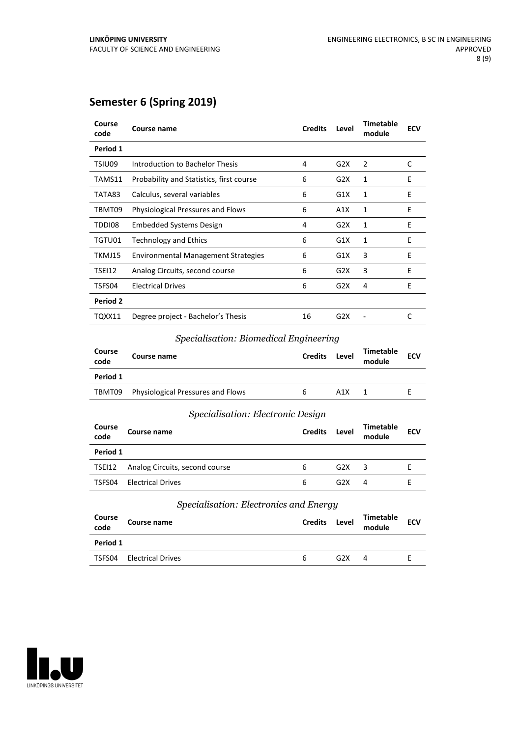# **Semester 6 (Spring 2019)**

| Course<br>code | Course name                              | <b>Credits</b> | Level | <b>Timetable</b><br>module | <b>ECV</b> |
|----------------|------------------------------------------|----------------|-------|----------------------------|------------|
| Period 1       |                                          |                |       |                            |            |
| TSIU09         | Introduction to Bachelor Thesis          | 4              | G2X   | $\overline{2}$             | C          |
| TAMS11         | Probability and Statistics, first course | 6              | G2X   | $\mathbf{1}$               | E          |
| TATA83         | Calculus, several variables              | 6              | G1X   | 1                          | E          |
| TBMT09         | <b>Physiological Pressures and Flows</b> | 6              | A1X   | 1                          | E          |
| TDDI08         | <b>Embedded Systems Design</b>           | 4              | G2X   | 1                          | E          |
| TGTU01         | <b>Technology and Ethics</b>             | 6              | G1X   | 1                          | E          |
| TKMJ15         | Environmental Management Strategies      | 6              | G1X   | 3                          | E          |
| TSEI12         | Analog Circuits, second course           | 6              | G2X   | 3                          | E          |
| TSFS04         | <b>Electrical Drives</b>                 | 6              | G2X   | 4                          | E          |
| Period 2       |                                          |                |       |                            |            |
| TQXX11         | Degree project - Bachelor's Thesis       | 16             | G2X   |                            | C          |

#### *Specialisation: Biomedical Engineering*

| Course<br>code | Course name                              | <b>Credits</b> | Level | <b>Timetable</b><br>module | <b>ECV</b> |
|----------------|------------------------------------------|----------------|-------|----------------------------|------------|
| Period 1       |                                          |                |       |                            |            |
| TBMT09         | <b>Physiological Pressures and Flows</b> | b              | A1X   |                            |            |
|                |                                          |                |       |                            |            |

#### *Specialisation: Electronic Design*

| Course<br>code | Course name                    | <b>Credits</b> | Level | <b>Timetable</b><br>module | <b>ECV</b> |
|----------------|--------------------------------|----------------|-------|----------------------------|------------|
| Period 1       |                                |                |       |                            |            |
| TSEI12         | Analog Circuits, second course | 6              | G2X   | 3                          |            |
| TSFS04         | <b>Electrical Drives</b>       | 6              | G2X   | 4                          |            |

#### *Specialisation: Electronics and Energy*

| Course<br>code | Course name              | <b>Credits</b> | Level            | <b>Timetable</b><br>module | <b>ECV</b> |
|----------------|--------------------------|----------------|------------------|----------------------------|------------|
| Period 1       |                          |                |                  |                            |            |
| TSFS04         | <b>Electrical Drives</b> | <sub>6</sub>   | G <sub>2</sub> X | 4                          |            |